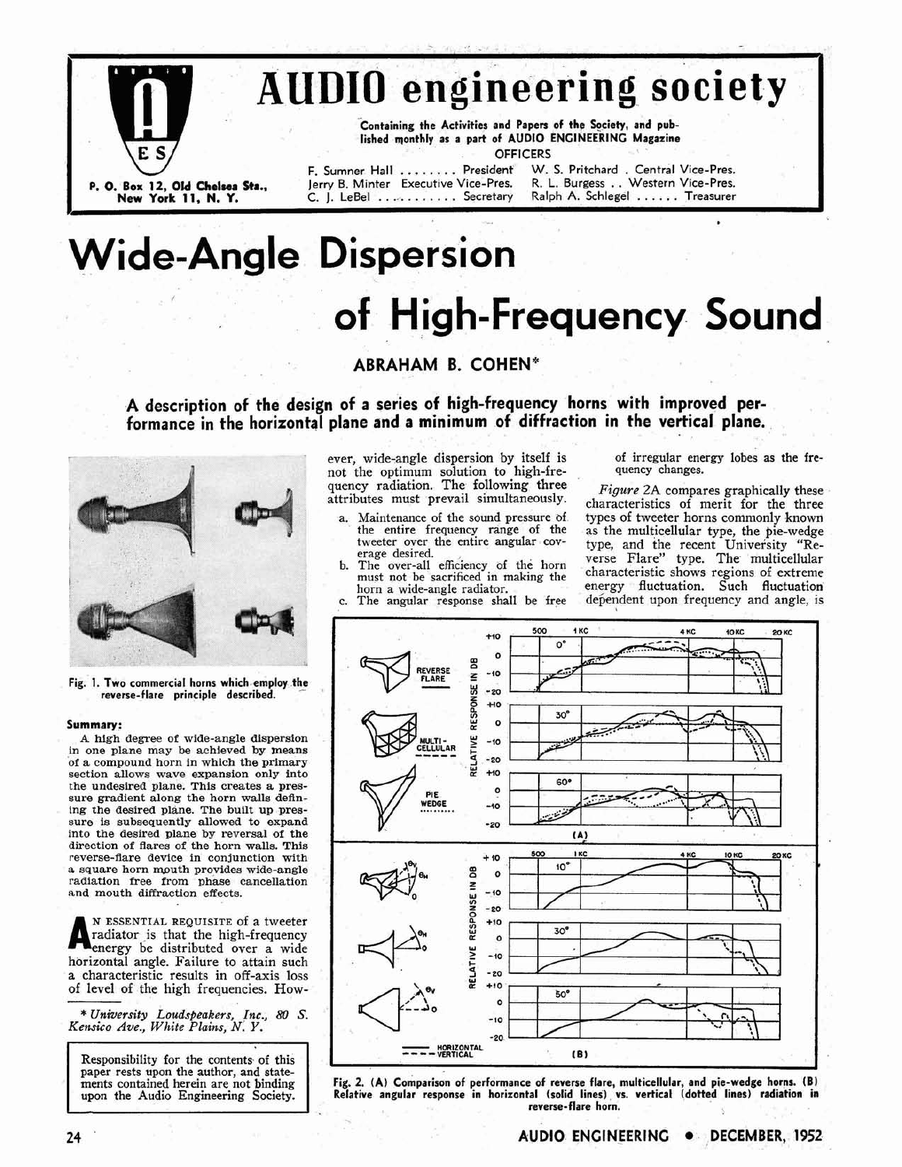

## **AUDIO engineering society**

**Containing the Activities and Papers of the Society, and published monthly as a part of AUDIO ENGINEERING Magazine OFFICERS** 

**P. 0. Box 12, Old Chelsea Str.,** Jerry B. Minter Executive Vice-Pres. R. L. Burgess . . Western Vice-Pres. **P. O. Box 12, Old Chelsea Sta.,** Jerry B. Minter Executive Vice-Pres. R. L. Burgess . . Western Vice-Pres.<br>New York 11, N. Y. C. J. LeBel . . . . . . . . . . Secretary Ralph A. Schlegel . . . . . . Treasurer

.

F. Sumner Hall . . . . . . . . President W. S. Pritchard . Central Vice-Pres.

# **Wide-Angle Dispersion of High-Frequency Sound**

**ABRAHAM B. COHEN\*** 

**A description of the design of a series of high-frequency horns with improved performance in the horizontal plane and a minimum of diffraction in the vertical plane.** 



Fig. 1. Two commercial horns which employ the reverse-flare principle described.

#### **Summary:**

A high degree of wide-angle dispersion in one plane may be achieved by means of a compound horn in which the primary section allows wave expansion only into the undesired plane. This creates a pressure gradient along the horn walls defin-<br>ing the desired plane. The built up pressure is subsequently allowed to expand<br>into the desired plane by reversal of the direction of flares of the horn walls. This<br>reverse-flare device in conjunction with a square horn mouth provides wide-angle radiation free from phase cancellation and mouth diffraction effects.

**A N** ESSENTIAL REQUISITE of a tweeter radiator is that the high-frequency energy be distributed over a wide N ESSENTIAL REQUISITE of a tweeter<br>radiator is that the high-frequency horizontal angle. Failure to attain such a characteristic results in off-axis loss of level of the high frequencies. How-

\* *University Loudspeakers, Inc.,* **80** *S. Kensico Ave., White Plains, N. Y.* 

Responsibility for the contents of this paper rests upon the author, and statements contained herein are not binding upon the Audio Engineering Society. not the optimum solution to high-frequency radiation. The following three *Figure 2A* compares graphically these attributes must prevail simultaneously. characteristics of merit for the three

- erage desired.
- 

ever, wide-angle dispersion by itself is of irregular energy lobes as the fre-<br>not the optimum solution to high-fre- quency changes.

a. Maintenance of the sound pressure of types of tweeter horns commonly known the entire frequency range of the as the multicellular type, the pie-wedge tweeter over the entire angular cov-<br>type, and the recent University type, and the recent University "Reerage desired.<br>
b. The over-all efficiency of the horn verse Flare" type. The multicellular<br>
must not be sacrificed in making the characteristic shows regions of extreme horn a wide-angle radiator. energy fluctuation. Such fluctuation c. The angular response shall be free dependent upon frequency and angle, is



**Fig. 2. (A) Comparison of performance of reverse flare, multicellular, and pie-wedge horns. (B) Relative angular response in horizontal (solid lines) vs. vertical (dotted lines) radiation in reverse-flare horn.**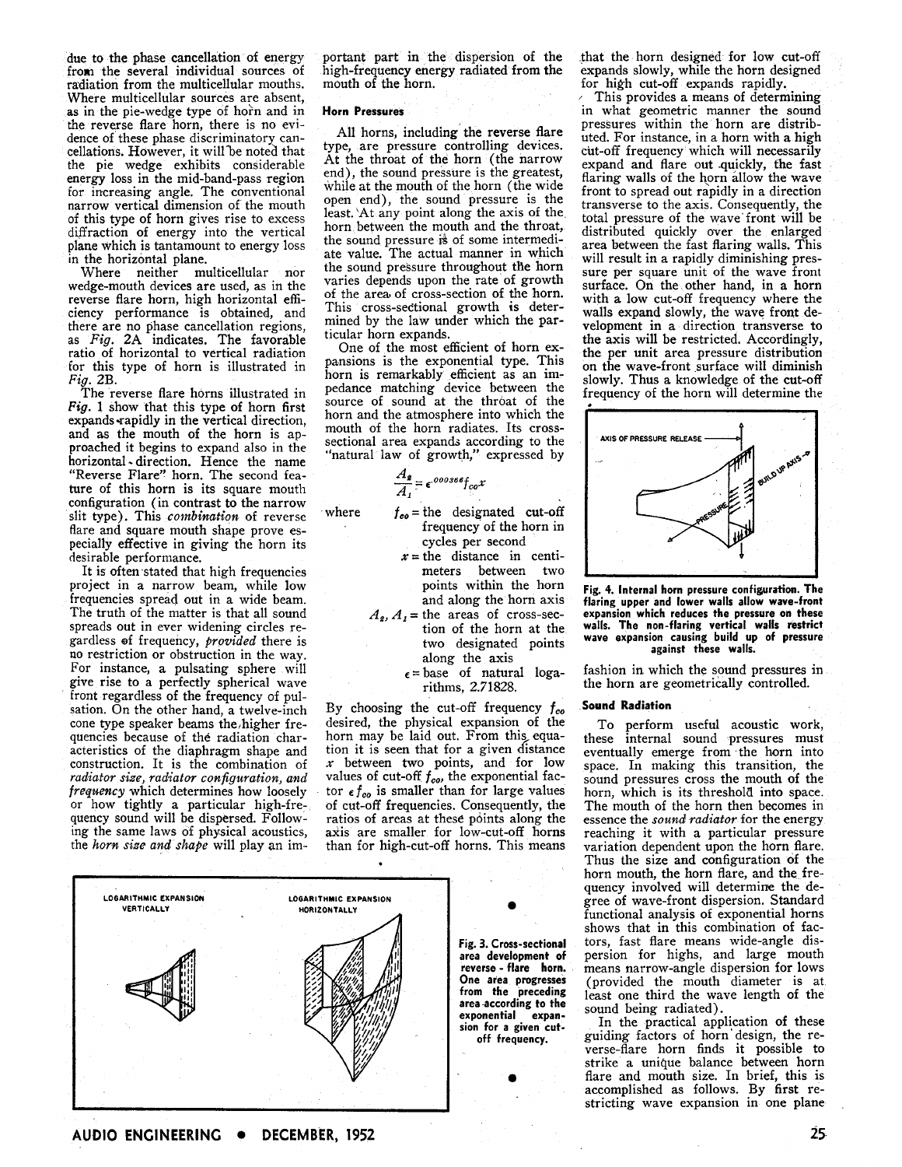due to the phase cancellation of energy from the several individual sources of radiation from the multicellular mouths. Where multicellular sources are absent, as in the pie-wedge type of horn and in the reverse flare horn, there is no evidence of these phase discriminatory cancellations. However, it will be noted that the pie wedge exhibits considerable energy loss in the mid-band-pass region for increasing angle. The conventional narrow vertical dimension of the mouth of this type of horn gives rise to excess diffraction of energy into the vertical plane which is tantamount to energy loss in the horizontal plane.

Where neither multicellular nor wedge-mouth devices are used, as in the reverse flare horn, high horizontal efficiency performance is obtained, and there are no phase cancellation regions, as *Fig.* **2A** indicates. The favorable ratio of horizontal to vertical radiation for this type of horn is illustrated in *Fig.* **2B.** 

The reverse flare horns illustrated in **Fig.** 1 show that this type of horn first expands-rapidly in the vertical direction, and as the mouth of the horn is approached it begins to expand also in the horizontal - direction. Hence the name "Reverse Flare" horn. The second feature of this horn is its square mouth configuration (in contrast to the narrow slit type). This *combination* of reverse flare and square mouth shape prove especially effective in giving the horn its desirable performance.

It is often stated that high frequencies project in a narrow beam, while low frequencies spread out in a wide beam. The truth of the matter is that all sound spreads out in ever widening circles regardless ef frequency, *provided* there is *no* restriction or obstruction in the way. For instance, a pulsating sphere will give rise to a perfectly spherical wave front regardless of the frequency of pulsation. On the other hand, a twelve-inch cone type speaker beams the higher frequencies because of the radiation characteristics of the diaphragm shape and construction. It is the combination of *radiator size, radiator configuration, and frequency* which determines how loosely or how tightly a particular high-frequency sound will be dispersed. Following the same laws of physical acoustics, the *horn size and shape* will play an im-

portant part in the dispersion of the high-frequency energy radiated from the mouth of the horn.

#### **Horn Pressures**

All horns, including the reverse flare type, are pressure controlling devices. At the throat of the horn (the narrow end), the sound pressure is the greatest, while at the mouth of the horn (the wide open end), the sound pressure is the least. 'At any point along the axis of the horn between the mouth and the throat, the sound pressure is of some intermediate value. The actual manner in which the sound pressure throughout the horn varies depends upon the rate of growth of the area. of cross-section of the horn. This cross-sectional growth is determined by the law under which the particular horn expands.

One of the most efficient of horn **ex**pansions is the exponential type. This horn is remarkably efficient as an impedance matching device between the source of sound at the throat of the horn and the atmosphere into which the mouth of the horn radiates. Its crosssectional area expands according to the "natural law of growth," expressed by

 $\frac{A_z}{A_t} = \epsilon^{000366} f_{co} x$ 

- where  $f_{co}$  = the designated cut-off frequency of the horn in cycles per second
	- $x =$  the distance in centimeters between two points within the horn and along the horn axis  $A_{\epsilon}$ ,  $A_{\epsilon}$  = the areas of cross-section of the horn at the
		- two designated points along the axis  $\epsilon$  = base of natural loga
			- rithms, 2.71828.

By choosing the cut-off frequency  $f_{co}$ desired, the physical expansion of the horn may be laid out. From this equation it is seen that for a given distance **x** between two points, and for low values of cut-off  $f_{co}$ , the exponential factor  $\epsilon f_{co}$  is smaller than for large values of cut-off frequencies. Consequently, the ratios of areas at these points along the axis are smaller for low-cut-off horns than for high-cut-off horns. This means



that the horn designed for low cut-off expands slowly, while the horn designed for high cut-off expands rapidly.

This provides a means of determining in what geometric manner the sound pressures within the horn are distributed. For instance, in a horn with a high cut-off frequency which will necessarily expand and flare out quickly, the fast flaring walls of the horn allow the wave front to spread out rapidly in a direction transverse to the axis. Consequently, the total pressure of the wave front will be distributed quickly over the enlarged area between the fast flaring walls. This will result in a rapidly diminishing pressure per square unit of the wave front surface. On the other hand, in a horn with a low cut-off frequency where the walls expand slowly, the wave front development in a direction transverse to the axis will be restricted. Accordingly, the per unit area pressure distribution on the wave-front surface will diminish slowly. Thus a knowledge of the cut-off frequency of the horn will determine the



**Fig. 4. Internal horn pressure configuration. The flaring upper and lower walls allow wave-front expansion which reduces the pressure on these**  walls. The non-flaring vertical walls restrict **wave expansion causing build up of pressure against these walls.** 

fashion in which the sound pressures in the horn are geometrically controlled.

#### **Sound Radiation**

To perform useful acoustic work, these internal sound pressures must eventually emerge from the horn into space. In making this transition, the sound pressures cross the mouth of the horn, which is its threshola into space. The mouth of the horn then becomes in essence the *sound radiator* for the energy reaching it with a particular pressure variation dependent upon the horn flare. Thus the size and configuration of the horn mouth, the horn flare, and the frequency involved will determine the degree of wave-front dispersion. Standard functional analysis of exponential horns shows that in this combination of factors, fast flare means wide-angle dispersion for highs, and large mouth means narrow-angle dispersion for lows (provided the mouth diameter is at least one third the wave length of the sound being radiated).

In the practical application of these guiding factors of horn design, the reverse-flare horn finds it possible to strike a unique balance between horn flare and mouth size. In brief, this is accomplished as follows. By first restricting wave expansion in one plane

25